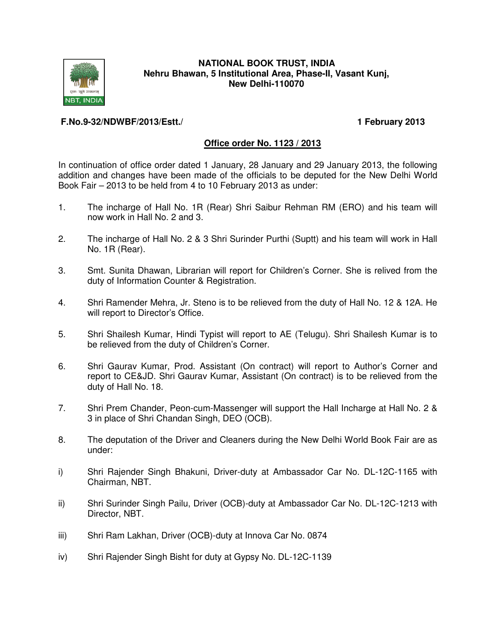

## **NATIONAL BOOK TRUST, INDIA Nehru Bhawan, 5 Institutional Area, Phase-II, Vasant Kunj, New Delhi-110070**

# **F.No.9-32/NDWBF/2013/Estt./ 1 February 2013**

# **Office order No. 1123 / 2013**

In continuation of office order dated 1 January, 28 January and 29 January 2013, the following addition and changes have been made of the officials to be deputed for the New Delhi World Book Fair – 2013 to be held from 4 to 10 February 2013 as under:

- 1. The incharge of Hall No. 1R (Rear) Shri Saibur Rehman RM (ERO) and his team will now work in Hall No. 2 and 3.
- 2. The incharge of Hall No. 2 & 3 Shri Surinder Purthi (Suptt) and his team will work in Hall No. 1R (Rear).
- 3. Smt. Sunita Dhawan, Librarian will report for Children's Corner. She is relived from the duty of Information Counter & Registration.
- 4. Shri Ramender Mehra, Jr. Steno is to be relieved from the duty of Hall No. 12 & 12A. He will report to Director's Office.
- 5. Shri Shailesh Kumar, Hindi Typist will report to AE (Telugu). Shri Shailesh Kumar is to be relieved from the duty of Children's Corner.
- 6. Shri Gaurav Kumar, Prod. Assistant (On contract) will report to Author's Corner and report to CE&JD. Shri Gaurav Kumar, Assistant (On contract) is to be relieved from the duty of Hall No. 18.
- 7. Shri Prem Chander, Peon-cum-Massenger will support the Hall Incharge at Hall No. 2 & 3 in place of Shri Chandan Singh, DEO (OCB).
- 8. The deputation of the Driver and Cleaners during the New Delhi World Book Fair are as under:
- i) Shri Rajender Singh Bhakuni, Driver-duty at Ambassador Car No. DL-12C-1165 with Chairman, NBT.
- ii) Shri Surinder Singh Pailu, Driver (OCB)-duty at Ambassador Car No. DL-12C-1213 with Director, NBT.
- iii) Shri Ram Lakhan, Driver (OCB)-duty at Innova Car No. 0874
- iv) Shri Rajender Singh Bisht for duty at Gypsy No. DL-12C-1139